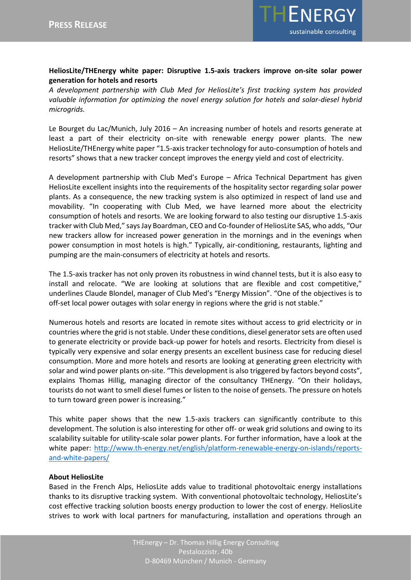

## **HeliosLite/THEnergy white paper: Disruptive 1.5-axis trackers improve on-site solar power generation for hotels and resorts**

*A development partnership with Club Med for HeliosLite's first tracking system has provided valuable information for optimizing the novel energy solution for hotels and solar-diesel hybrid microgrids.*

Le Bourget du Lac/Munich, July 2016 – An increasing number of hotels and resorts generate at least a part of their electricity on-site with renewable energy power plants. The new HeliosLite/THEnergy white paper "1.5-axis tracker technology for auto-consumption of hotels and resorts" shows that a new tracker concept improves the energy yield and cost of electricity.

A development partnership with Club Med's Europe – Africa Technical Department has given HeliosLite excellent insights into the requirements of the hospitality sector regarding solar power plants. As a consequence, the new tracking system is also optimized in respect of land use and movability. "In cooperating with Club Med, we have learned more about the electricity consumption of hotels and resorts. We are looking forward to also testing our disruptive 1.5-axis tracker with Club Med," says Jay Boardman, CEO and Co-founder of HeliosLite SAS, who adds, "Our new trackers allow for increased power generation in the mornings and in the evenings when power consumption in most hotels is high." Typically, air-conditioning, restaurants, lighting and pumping are the main-consumers of electricity at hotels and resorts.

The 1.5-axis tracker has not only proven its robustness in wind channel tests, but it is also easy to install and relocate. "We are looking at solutions that are flexible and cost competitive," underlines Claude Blondel, manager of Club Med's "Energy Mission". "One of the objectives is to off-set local power outages with solar energy in regions where the grid is not stable."

Numerous hotels and resorts are located in remote sites without access to grid electricity or in countries where the grid is not stable. Under these conditions, diesel generator sets are often used to generate electricity or provide back-up power for hotels and resorts. Electricity from diesel is typically very expensive and solar energy presents an excellent business case for reducing diesel consumption. More and more hotels and resorts are looking at generating green electricity with solar and wind power plants on-site. "This development is also triggered by factors beyond costs", explains Thomas Hillig, managing director of the consultancy THEnergy. "On their holidays, tourists do not want to smell diesel fumes or listen to the noise of gensets. The pressure on hotels to turn toward green power is increasing."

This white paper shows that the new 1.5-axis trackers can significantly contribute to this development. The solution is also interesting for other off- or weak grid solutions and owing to its scalability suitable for utility-scale solar power plants. For further information, have a look at the white paper: [http://www.th-energy.net/english/platform-renewable-energy-on-islands/reports](http://www.th-energy.net/english/platform-renewable-energy-on-islands/reports-and-white-papers/)[and-white-papers/](http://www.th-energy.net/english/platform-renewable-energy-on-islands/reports-and-white-papers/)

## **About HeliosLite**

Based in the French Alps, HeliosLite adds value to traditional photovoltaic energy installations thanks to its disruptive tracking system. With conventional photovoltaic technology, HeliosLite's cost effective tracking solution boosts energy production to lower the cost of energy. HeliosLite strives to work with local partners for manufacturing, installation and operations through an